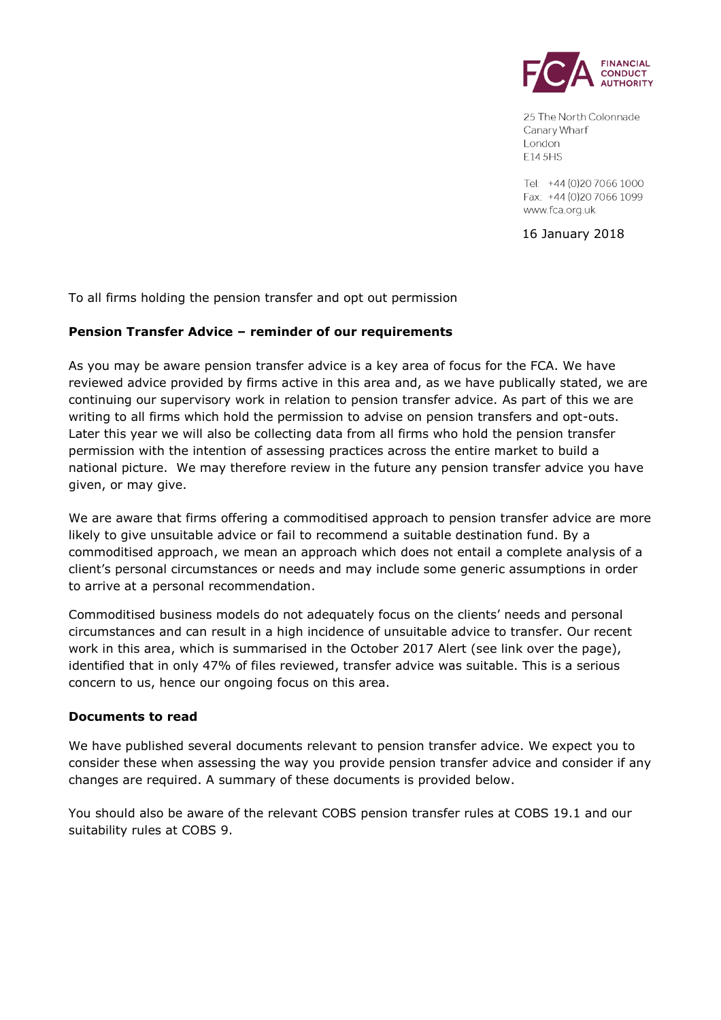

25 The North Colonnade Canary Wharf London E14 5HS

Tel: +44 (0) 20 70 66 1000 Fax: +44 (0)20 7066 1099 www.fca.org.uk

16 January 2018

To all firms holding the pension transfer and opt out permission

## **Pension Transfer Advice – reminder of our requirements**

As you may be aware pension transfer advice is a key area of focus for the FCA. We have reviewed advice provided by firms active in this area and, as we have publically stated, we are continuing our supervisory work in relation to pension transfer advice. As part of this we are writing to all firms which hold the permission to advise on pension transfers and opt-outs. Later this year we will also be collecting data from all firms who hold the pension transfer permission with the intention of assessing practices across the entire market to build a national picture. We may therefore review in the future any pension transfer advice you have given, or may give.

We are aware that firms offering a commoditised approach to pension transfer advice are more likely to give unsuitable advice or fail to recommend a suitable destination fund. By a commoditised approach, we mean an approach which does not entail a complete analysis of a client's personal circumstances or needs and may include some generic assumptions in order to arrive at a personal recommendation.

Commoditised business models do not adequately focus on the clients' needs and personal circumstances and can result in a high incidence of unsuitable advice to transfer. Our recent work in this area, which is summarised in the October 2017 Alert (see link over the page), identified that in only 47% of files reviewed, transfer advice was suitable. This is a serious concern to us, hence our ongoing focus on this area.

#### **Documents to read**

We have published several documents relevant to pension transfer advice. We expect you to consider these when assessing the way you provide pension transfer advice and consider if any changes are required. A summary of these documents is provided below.

You should also be aware of the relevant COBS pension transfer rules at COBS 19.1 and our suitability rules at COBS 9.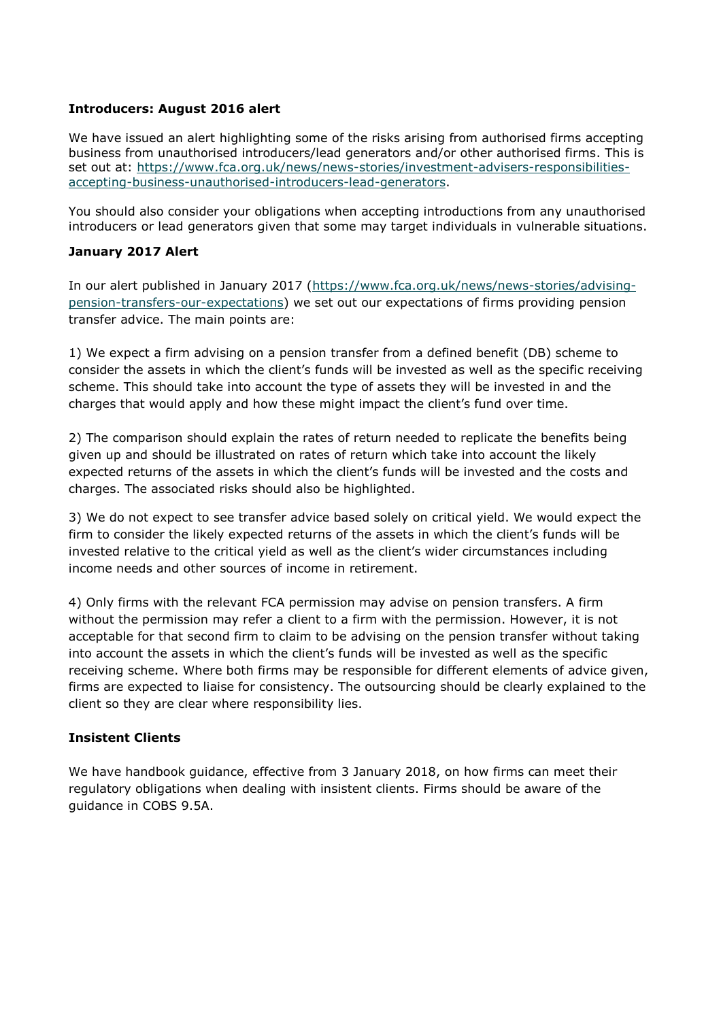## **Introducers: August 2016 alert**

We have issued an alert highlighting some of the risks arising from authorised firms accepting business from unauthorised introducers/lead generators and/or other authorised firms. This is set out at: [https://www.fca.org.uk/news/news-stories/investment-advisers-responsibilities](https://www.fca.org.uk/news/news-stories/investment-advisers-responsibilities-accepting-business-unauthorised-introducers-lead-generators)[accepting-business-unauthorised-introducers-lead-generators.](https://www.fca.org.uk/news/news-stories/investment-advisers-responsibilities-accepting-business-unauthorised-introducers-lead-generators)

You should also consider your obligations when accepting introductions from any unauthorised introducers or lead generators given that some may target individuals in vulnerable situations.

### **January 2017 Alert**

In our alert published in January 2017 [\(https://www.fca.org.uk/news/news-stories/advising](https://www.fca.org.uk/news/news-stories/advising-pension-transfers-our-expectations)[pension-transfers-our-expectations\)](https://www.fca.org.uk/news/news-stories/advising-pension-transfers-our-expectations) we set out our expectations of firms providing pension transfer advice. The main points are:

1) We expect a firm advising on a pension transfer from a defined benefit (DB) scheme to consider the assets in which the client's funds will be invested as well as the specific receiving scheme. This should take into account the type of assets they will be invested in and the charges that would apply and how these might impact the client's fund over time.

2) The comparison should explain the rates of return needed to replicate the benefits being given up and should be illustrated on rates of return which take into account the likely expected returns of the assets in which the client's funds will be invested and the costs and charges. The associated risks should also be highlighted.

3) We do not expect to see transfer advice based solely on critical yield. We would expect the firm to consider the likely expected returns of the assets in which the client's funds will be invested relative to the critical yield as well as the client's wider circumstances including income needs and other sources of income in retirement.

4) Only firms with the relevant FCA permission may advise on pension transfers. A firm without the permission may refer a client to a firm with the permission. However, it is not acceptable for that second firm to claim to be advising on the pension transfer without taking into account the assets in which the client's funds will be invested as well as the specific receiving scheme. Where both firms may be responsible for different elements of advice given, firms are expected to liaise for consistency. The outsourcing should be clearly explained to the client so they are clear where responsibility lies.

## **Insistent Clients**

We have handbook guidance, effective from 3 January 2018, on how firms can meet their regulatory obligations when dealing with insistent clients. Firms should be aware of the guidance in COBS 9.5A.